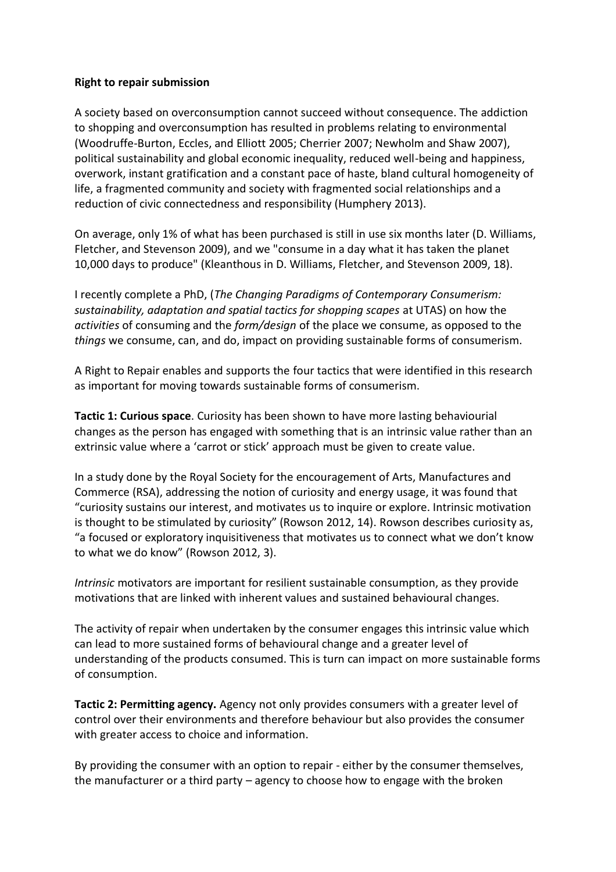## **Right to repair submission**

A society based on overconsumption cannot succeed without consequence. The addiction to shopping and overconsumption has resulted in problems relating to environmental (Woodruffe-Burton, Eccles, and Elliott 2005; Cherrier 2007; Newholm and Shaw 2007), political sustainability and global economic inequality, reduced well-being and happiness, overwork, instant gratification and a constant pace of haste, bland cultural homogeneity of life, a fragmented community and society with fragmented social relationships and a reduction of civic connectedness and responsibility (Humphery 2013).

On average, only 1% of what has been purchased is still in use six months later (D. Williams, Fletcher, and Stevenson 2009), and we "consume in a day what it has taken the planet 10,000 days to produce" (Kleanthous in D. Williams, Fletcher, and Stevenson 2009, 18).

I recently complete a PhD, (*The Changing Paradigms of Contemporary Consumerism: sustainability, adaptation and spatial tactics for shopping scapes* at UTAS) on how the *activities* of consuming and the *form/design* of the place we consume, as opposed to the *things* we consume, can, and do, impact on providing sustainable forms of consumerism.

A Right to Repair enables and supports the four tactics that were identified in this research as important for moving towards sustainable forms of consumerism.

**Tactic 1: Curious space**. Curiosity has been shown to have more lasting behaviourial changes as the person has engaged with something that is an intrinsic value rather than an extrinsic value where a 'carrot or stick' approach must be given to create value.

In a study done by the Royal Society for the encouragement of Arts, Manufactures and Commerce (RSA), addressing the notion of curiosity and energy usage, it was found that "curiosity sustains our interest, and motivates us to inquire or explore. Intrinsic motivation is thought to be stimulated by curiosity" (Rowson 2012, 14). Rowson describes curiosity as, "a focused or exploratory inquisitiveness that motivates us to connect what we don't know to what we do know" (Rowson 2012, 3).

*Intrinsic* motivators are important for resilient sustainable consumption, as they provide motivations that are linked with inherent values and sustained behavioural changes.

The activity of repair when undertaken by the consumer engages this intrinsic value which can lead to more sustained forms of behavioural change and a greater level of understanding of the products consumed. This is turn can impact on more sustainable forms of consumption.

**Tactic 2: Permitting agency.** Agency not only provides consumers with a greater level of control over their environments and therefore behaviour but also provides the consumer with greater access to choice and information.

By providing the consumer with an option to repair - either by the consumer themselves, the manufacturer or a third party – agency to choose how to engage with the broken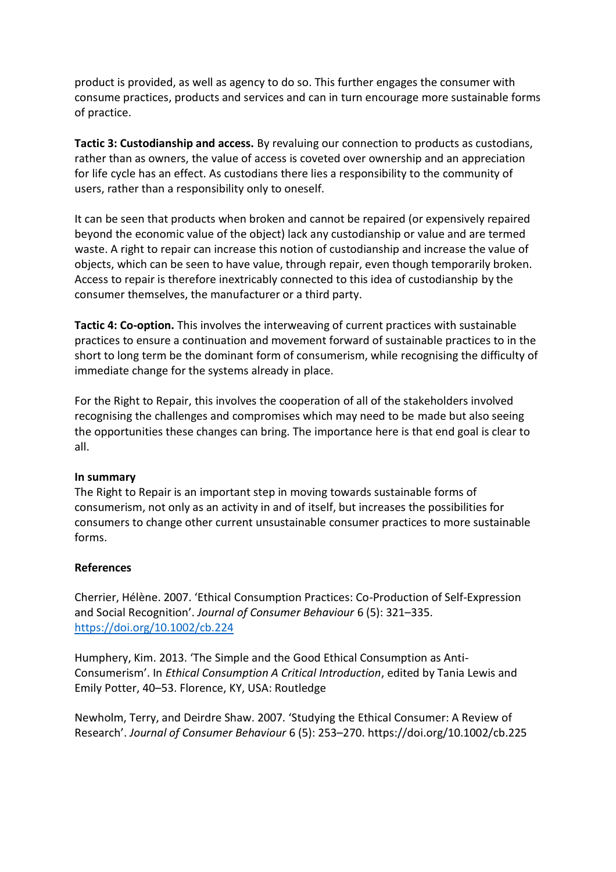product is provided, as well as agency to do so. This further engages the consumer with consume practices, products and services and can in turn encourage more sustainable forms of practice.

**Tactic 3: Custodianship and access.** By revaluing our connection to products as custodians, rather than as owners, the value of access is coveted over ownership and an appreciation for life cycle has an effect. As custodians there lies a responsibility to the community of users, rather than a responsibility only to oneself.

It can be seen that products when broken and cannot be repaired (or expensively repaired beyond the economic value of the object) lack any custodianship or value and are termed waste. A right to repair can increase this notion of custodianship and increase the value of objects, which can be seen to have value, through repair, even though temporarily broken. Access to repair is therefore inextricably connected to this idea of custodianship by the consumer themselves, the manufacturer or a third party.

**Tactic 4: Co-option.** This involves the interweaving of current practices with sustainable practices to ensure a continuation and movement forward of sustainable practices to in the short to long term be the dominant form of consumerism, while recognising the difficulty of immediate change for the systems already in place.

For the Right to Repair, this involves the cooperation of all of the stakeholders involved recognising the challenges and compromises which may need to be made but also seeing the opportunities these changes can bring. The importance here is that end goal is clear to all.

## **In summary**

The Right to Repair is an important step in moving towards sustainable forms of consumerism, not only as an activity in and of itself, but increases the possibilities for consumers to change other current unsustainable consumer practices to more sustainable forms.

## **References**

Cherrier, Hélène. 2007. 'Ethical Consumption Practices: Co-Production of Self-Expression and Social Recognition'. *Journal of Consumer Behaviour* 6 (5): 321–335. <https://doi.org/10.1002/cb.224>

Humphery, Kim. 2013. 'The Simple and the Good Ethical Consumption as Anti-Consumerism'. In *Ethical Consumption A Critical Introduction*, edited by Tania Lewis and Emily Potter, 40–53. Florence, KY, USA: Routledge

Newholm, Terry, and Deirdre Shaw. 2007. 'Studying the Ethical Consumer: A Review of Research'. *Journal of Consumer Behaviour* 6 (5): 253–270. https://doi.org/10.1002/cb.225